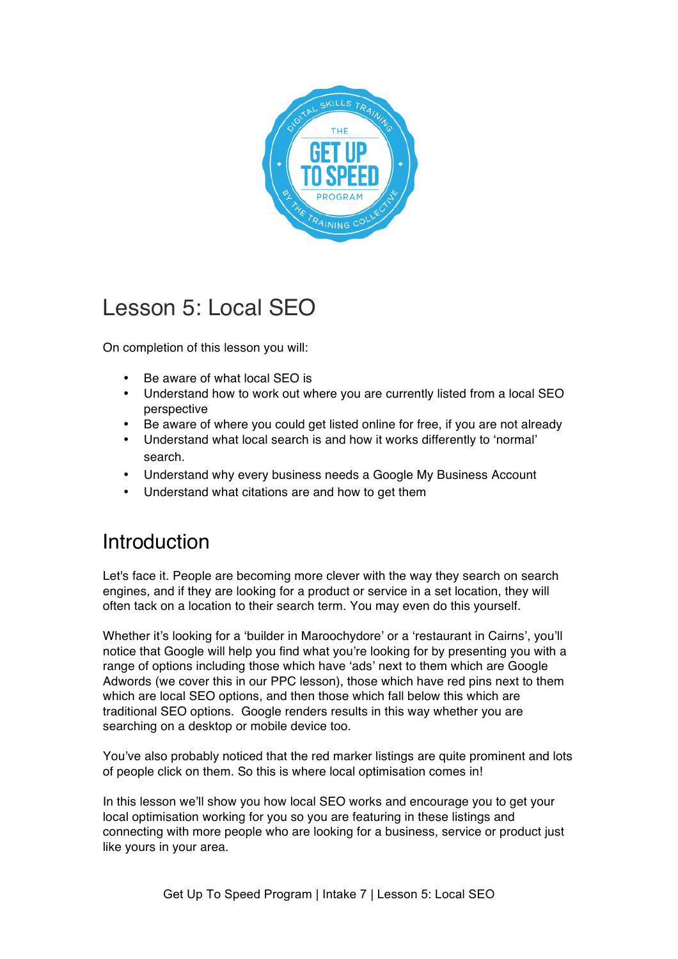

# Lesson 5: Local SEO

On completion of this lesson you will:

- Be aware of what local SEO is
- Understand how to work out where you are currently listed from a local SEO perspective
- Be aware of where you could get listed online for free, if you are not already
- Understand what local search is and how it works differently to 'normal' search.
- Understand why every business needs a Google My Business Account
- Understand what citations are and how to get them

# Introduction

Let's face it. People are becoming more clever with the way they search on search engines, and if they are looking for a product or service in a set location, they will often tack on a location to their search term. You may even do this yourself.

Whether it's looking for a 'builder in Maroochydore' or a 'restaurant in Cairns', you'll notice that Google will help you find what you're looking for by presenting you with a range of options including those which have 'ads' next to them which are Google Adwords (we cover this in our PPC lesson), those which have red pins next to them which are local SEO options, and then those which fall below this which are traditional SEO options. Google renders results in this way whether you are searching on a desktop or mobile device too.

You've also probably noticed that the red marker listings are quite prominent and lots of people click on them. So this is where local optimisation comes in!

In this lesson we'll show you how local SEO works and encourage you to get your local optimisation working for you so you are featuring in these listings and connecting with more people who are looking for a business, service or product just like yours in your area.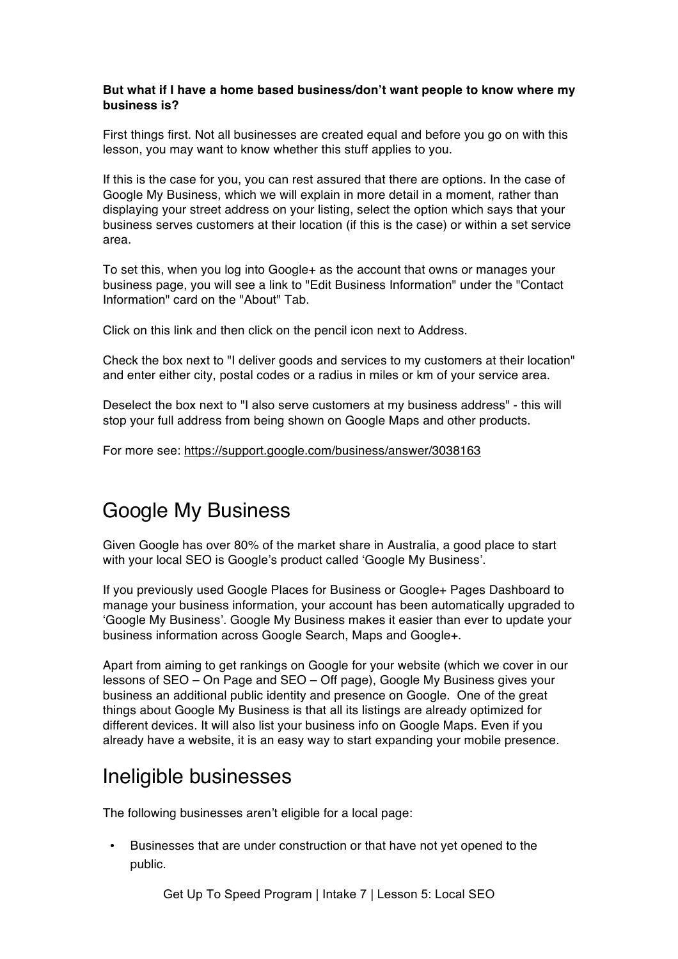### **But what if I have a home based business/don't want people to know where my business is?**

First things first. Not all businesses are created equal and before you go on with this lesson, you may want to know whether this stuff applies to you.

If this is the case for you, you can rest assured that there are options. In the case of Google My Business, which we will explain in more detail in a moment, rather than displaying your street address on your listing, select the option which says that your business serves customers at their location (if this is the case) or within a set service area.

To set this, when you log into Google+ as the account that owns or manages your business page, you will see a link to "Edit Business Information" under the "Contact Information" card on the "About" Tab.

Click on this link and then click on the pencil icon next to Address.

Check the box next to "I deliver goods and services to my customers at their location" and enter either city, postal codes or a radius in miles or km of your service area.

Deselect the box next to "I also serve customers at my business address" - this will stop your full address from being shown on Google Maps and other products.

For more see: https://support.google.com/business/answer/3038163

# Google My Business

Given Google has over 80% of the market share in Australia, a good place to start with your local SEO is Google's product called 'Google My Business'.

If you previously used Google Places for Business or Google+ Pages Dashboard to manage your business information, your account has been automatically upgraded to 'Google My Business'. Google My Business makes it easier than ever to update your business information across Google Search, Maps and Google+.

Apart from aiming to get rankings on Google for your website (which we cover in our lessons of SEO – On Page and SEO – Off page), Google My Business gives your business an additional public identity and presence on Google. One of the great things about Google My Business is that all its listings are already optimized for different devices. It will also list your business info on Google Maps. Even if you already have a website, it is an easy way to start expanding your mobile presence.

## Ineligible businesses

The following businesses aren't eligible for a local page:

• Businesses that are under construction or that have not yet opened to the public.

Get Up To Speed Program | Intake 7 | Lesson 5: Local SEO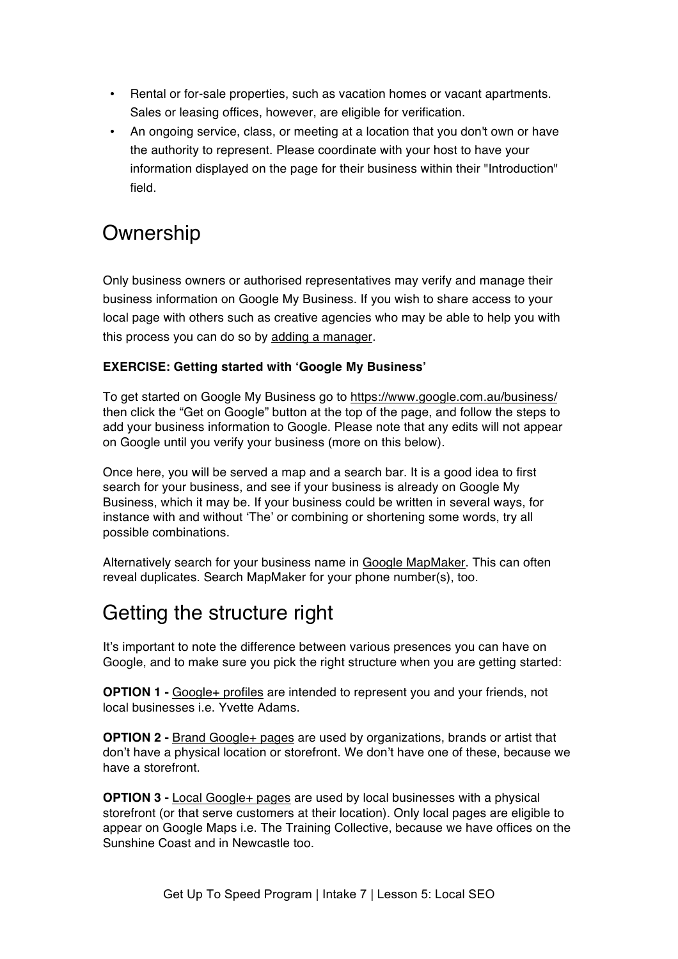- Rental or for-sale properties, such as vacation homes or vacant apartments. Sales or leasing offices, however, are eligible for verification.
- An ongoing service, class, or meeting at a location that you don't own or have the authority to represent. Please coordinate with your host to have your information displayed on the page for their business within their "Introduction" field.

# **Ownership**

Only business owners or authorised representatives may verify and manage their business information on Google My Business. If you wish to share access to your local page with others such as creative agencies who may be able to help you with this process you can do so by adding a manager.

### **EXERCISE: Getting started with 'Google My Business'**

To get started on Google My Business go to https://www.google.com.au/business/ then click the "Get on Google" button at the top of the page, and follow the steps to add your business information to Google. Please note that any edits will not appear on Google until you verify your business (more on this below).

Once here, you will be served a map and a search bar. It is a good idea to first search for your business, and see if your business is already on Google My Business, which it may be. If your business could be written in several ways, for instance with and without 'The' or combining or shortening some words, try all possible combinations.

Alternatively search for your business name in Google MapMaker. This can often reveal duplicates. Search MapMaker for your phone number(s), too.

# Getting the structure right

It's important to note the difference between various presences you can have on Google, and to make sure you pick the right structure when you are getting started:

**OPTION 1 -** Google+ profiles are intended to represent you and your friends, not local businesses i.e. Yvette Adams.

**OPTION 2 -** Brand Google+ pages are used by organizations, brands or artist that don't have a physical location or storefront. We don't have one of these, because we have a storefront.

**OPTION 3 -** Local Google+ pages are used by local businesses with a physical storefront (or that serve customers at their location). Only local pages are eligible to appear on Google Maps i.e. The Training Collective, because we have offices on the Sunshine Coast and in Newcastle too.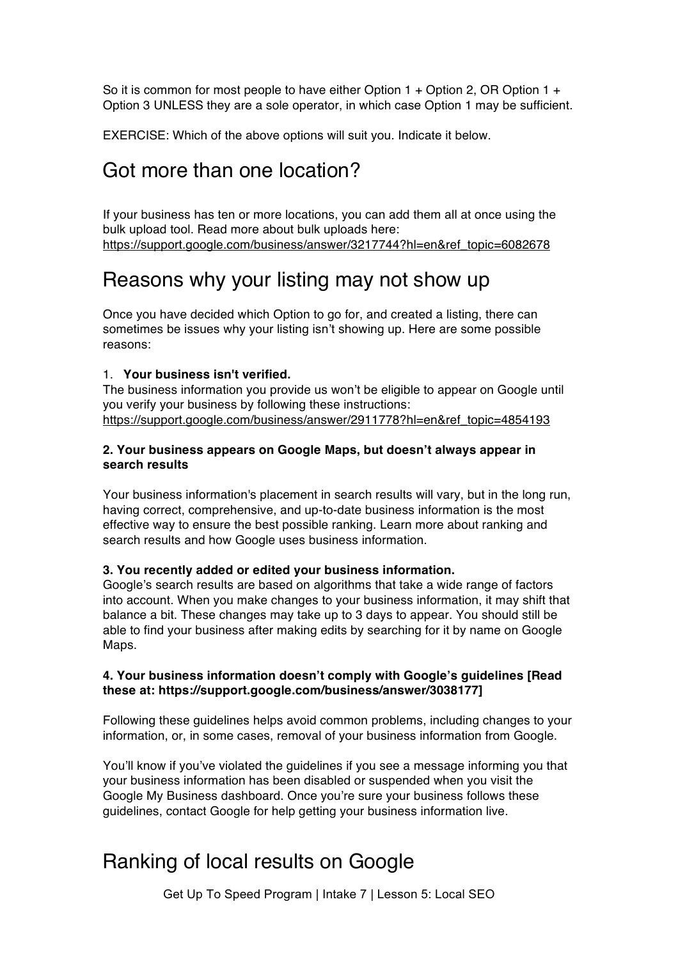So it is common for most people to have either Option 1 + Option 2, OR Option 1 + Option 3 UNLESS they are a sole operator, in which case Option 1 may be sufficient.

EXERCISE: Which of the above options will suit you. Indicate it below.

### Got more than one location?

If your business has ten or more locations, you can add them all at once using the bulk upload tool. Read more about bulk uploads here: https://support.google.com/business/answer/3217744?hl=en&ref\_topic=6082678

### Reasons why your listing may not show up

Once you have decided which Option to go for, and created a listing, there can sometimes be issues why your listing isn't showing up. Here are some possible reasons:

### 1. **Your business isn't verified.**

The business information you provide us won't be eligible to appear on Google until you verify your business by following these instructions: https://support.google.com/business/answer/2911778?hl=en&ref\_topic=4854193

#### **2. Your business appears on Google Maps, but doesn't always appear in search results**

Your business information's placement in search results will vary, but in the long run, having correct, comprehensive, and up-to-date business information is the most effective way to ensure the best possible ranking. Learn more about ranking and search results and how Google uses business information.

#### **3. You recently added or edited your business information.**

Google's search results are based on algorithms that take a wide range of factors into account. When you make changes to your business information, it may shift that balance a bit. These changes may take up to 3 days to appear. You should still be able to find your business after making edits by searching for it by name on Google Maps.

### **4. Your business information doesn't comply with Google's guidelines [Read these at: https://support.google.com/business/answer/3038177]**

Following these guidelines helps avoid common problems, including changes to your information, or, in some cases, removal of your business information from Google.

You'll know if you've violated the guidelines if you see a message informing you that your business information has been disabled or suspended when you visit the Google My Business dashboard. Once you're sure your business follows these guidelines, contact Google for help getting your business information live.

## Ranking of local results on Google

Get Up To Speed Program | Intake 7 | Lesson 5: Local SEO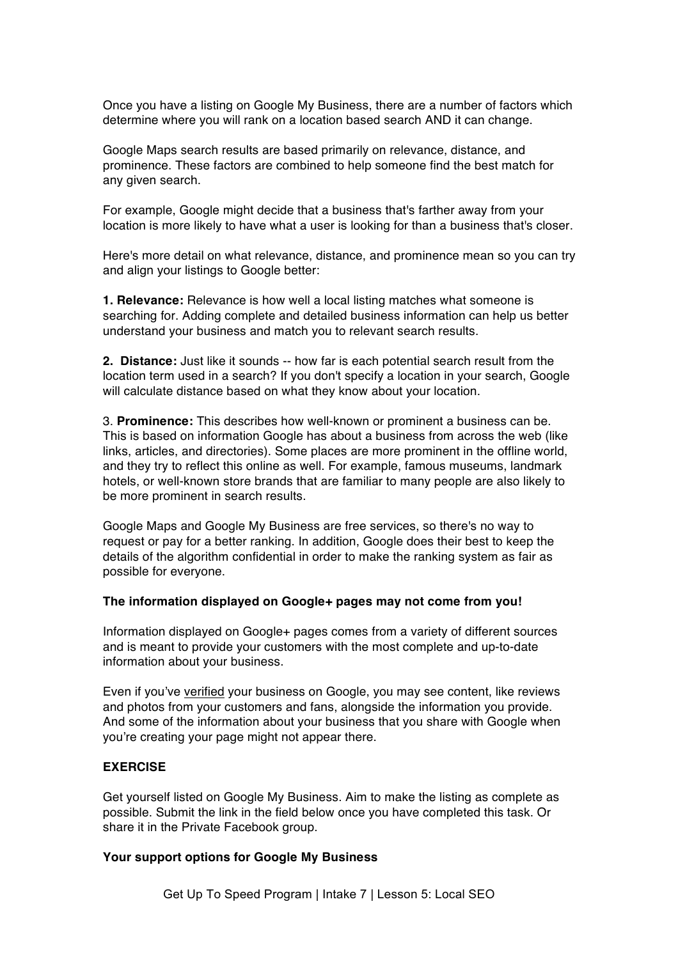Once you have a listing on Google My Business, there are a number of factors which determine where you will rank on a location based search AND it can change.

Google Maps search results are based primarily on relevance, distance, and prominence. These factors are combined to help someone find the best match for any given search.

For example, Google might decide that a business that's farther away from your location is more likely to have what a user is looking for than a business that's closer.

Here's more detail on what relevance, distance, and prominence mean so you can try and align your listings to Google better:

**1. Relevance:** Relevance is how well a local listing matches what someone is searching for. Adding complete and detailed business information can help us better understand your business and match you to relevant search results.

**2. Distance:** Just like it sounds -- how far is each potential search result from the location term used in a search? If you don't specify a location in your search, Google will calculate distance based on what they know about your location.

3. **Prominence:** This describes how well-known or prominent a business can be. This is based on information Google has about a business from across the web (like links, articles, and directories). Some places are more prominent in the offline world, and they try to reflect this online as well. For example, famous museums, landmark hotels, or well-known store brands that are familiar to many people are also likely to be more prominent in search results.

Google Maps and Google My Business are free services, so there's no way to request or pay for a better ranking. In addition, Google does their best to keep the details of the algorithm confidential in order to make the ranking system as fair as possible for everyone.

#### **The information displayed on Google+ pages may not come from you!**

Information displayed on Google+ pages comes from a variety of different sources and is meant to provide your customers with the most complete and up-to-date information about your business.

Even if you've verified your business on Google, you may see content, like reviews and photos from your customers and fans, alongside the information you provide. And some of the information about your business that you share with Google when you're creating your page might not appear there.

### **EXERCISE**

Get yourself listed on Google My Business. Aim to make the listing as complete as possible. Submit the link in the field below once you have completed this task. Or share it in the Private Facebook group.

#### **Your support options for Google My Business**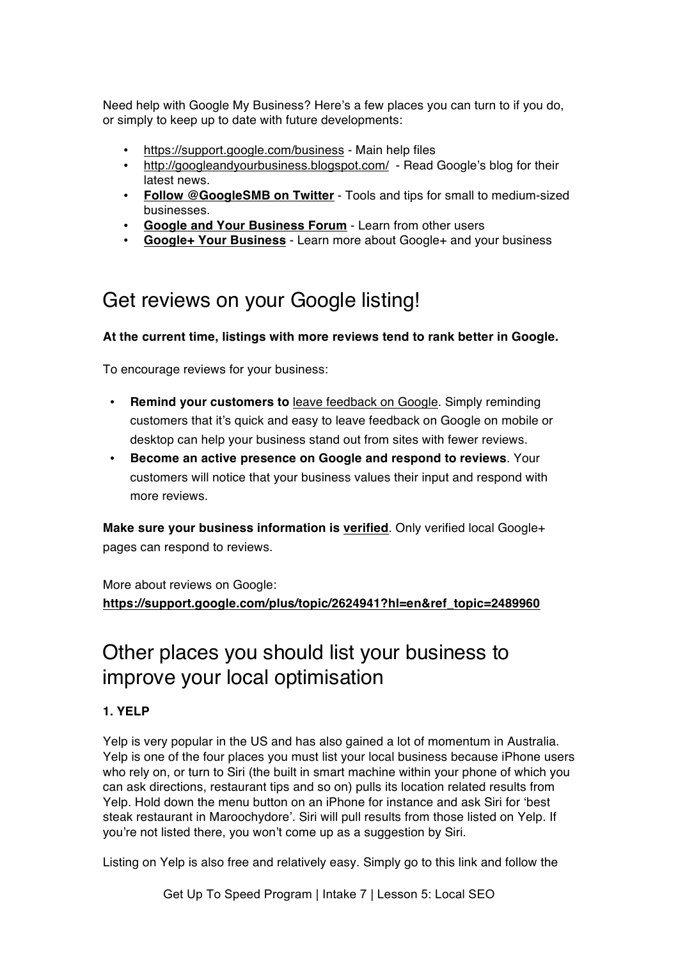Need help with Google My Business? Here's a few places you can turn to if you do, or simply to keep up to date with future developments:

- https://support.google.com/business Main help files
- http://googleandyourbusiness.blogspot.com/ Read Google's blog for their latest news.
- **Follow @GoogleSMB on Twitter** Tools and tips for small to medium-sized businesses.
- **Google and Your Business Forum** Learn from other users
- **Google+ Your Business** Learn more about Google+ and your business

## Get reviews on your Google listing!

### **At the current time, listings with more reviews tend to rank better in Google.**

To encourage reviews for your business:

- **Remind your customers to** leave feedback on Google. Simply reminding customers that it's quick and easy to leave feedback on Google on mobile or desktop can help your business stand out from sites with fewer reviews.
- **Become an active presence on Google and respond to reviews**. Your customers will notice that your business values their input and respond with more reviews.

**Make sure your business information is verified**. Only verified local Google+ pages can respond to reviews.

More about reviews on Google: **https://support.google.com/plus/topic/2624941?hl=en&ref\_topic=2489960**

## Other places you should list your business to improve your local optimisation

### **1. YELP**

Yelp is very popular in the US and has also gained a lot of momentum in Australia. Yelp is one of the four places you must list your local business because iPhone users who rely on, or turn to Siri (the built in smart machine within your phone of which you can ask directions, restaurant tips and so on) pulls its location related results from Yelp. Hold down the menu button on an iPhone for instance and ask Siri for 'best steak restaurant in Maroochydore'. Siri will pull results from those listed on Yelp. If you're not listed there, you won't come up as a suggestion by Siri.

Listing on Yelp is also free and relatively easy. Simply go to this link and follow the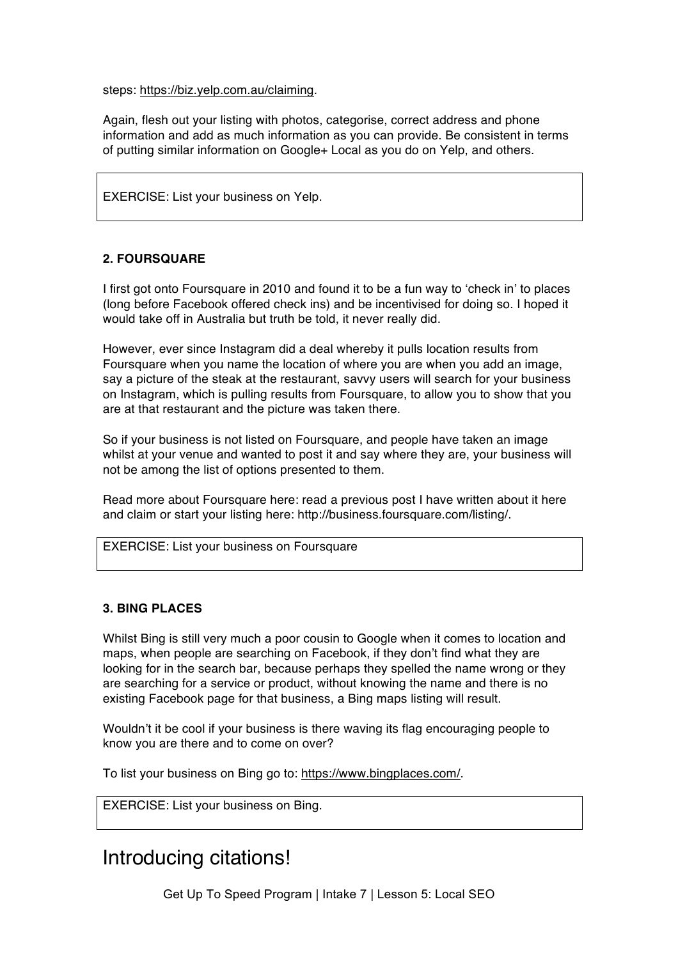steps: https://biz.yelp.com.au/claiming.

Again, flesh out your listing with photos, categorise, correct address and phone information and add as much information as you can provide. Be consistent in terms of putting similar information on Google+ Local as you do on Yelp, and others.

EXERCISE: List your business on Yelp.

### **2. FOURSQUARE**

I first got onto Foursquare in 2010 and found it to be a fun way to 'check in' to places (long before Facebook offered check ins) and be incentivised for doing so. I hoped it would take off in Australia but truth be told, it never really did.

However, ever since Instagram did a deal whereby it pulls location results from Foursquare when you name the location of where you are when you add an image, say a picture of the steak at the restaurant, savvy users will search for your business on Instagram, which is pulling results from Foursquare, to allow you to show that you are at that restaurant and the picture was taken there.

So if your business is not listed on Foursquare, and people have taken an image whilst at your venue and wanted to post it and say where they are, your business will not be among the list of options presented to them.

Read more about Foursquare here: read a previous post I have written about it here and claim or start your listing here: http://business.foursquare.com/listing/.

EXERCISE: List your business on Foursquare

### **3. BING PLACES**

Whilst Bing is still very much a poor cousin to Google when it comes to location and maps, when people are searching on Facebook, if they don't find what they are looking for in the search bar, because perhaps they spelled the name wrong or they are searching for a service or product, without knowing the name and there is no existing Facebook page for that business, a Bing maps listing will result.

Wouldn't it be cool if your business is there waving its flag encouraging people to know you are there and to come on over?

To list your business on Bing go to: https://www.bingplaces.com/.

EXERCISE: List your business on Bing.

### Introducing citations!

Get Up To Speed Program | Intake 7 | Lesson 5: Local SEO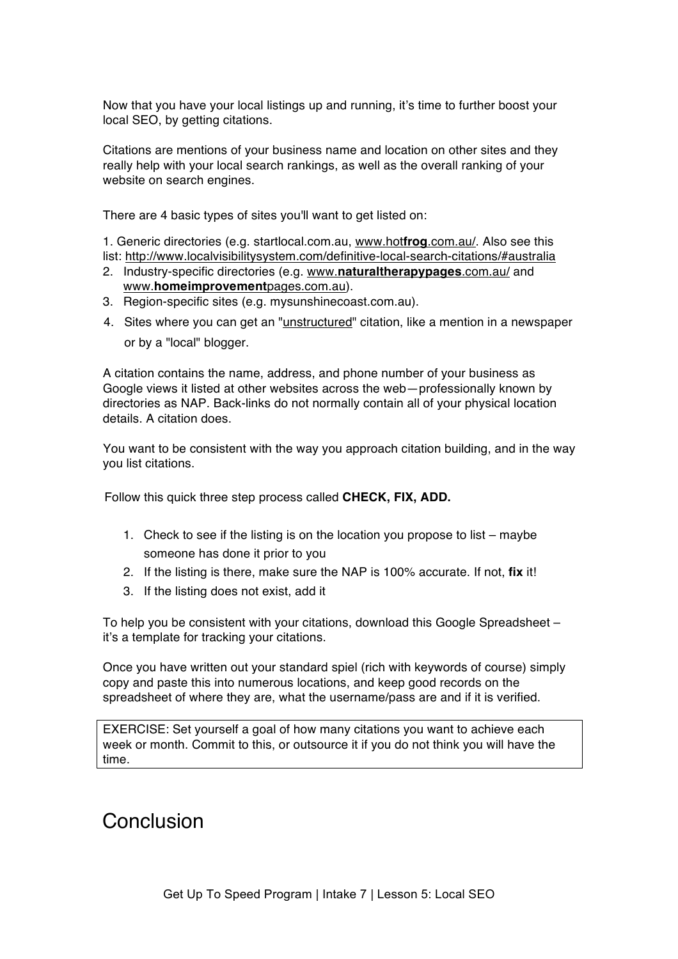Now that you have your local listings up and running, it's time to further boost your local SEO, by getting citations.

Citations are mentions of your business name and location on other sites and they really help with your local search rankings, as well as the overall ranking of your website on search engines.

There are 4 basic types of sites you'll want to get listed on:

1. Generic directories (e.g. startlocal.com.au, www.hot**frog**.com.au/. Also see this list: http://www.localvisibilitysystem.com/definitive-local-search-citations/#australia

- 2. Industry-specific directories (e.g. www.**naturaltherapypages**.com.au/ and www.**homeimprovement**pages.com.au).
- 3. Region-specific sites (e.g. mysunshinecoast.com.au).
- 4. Sites where you can get an "unstructured" citation, like a mention in a newspaper or by a "local" blogger.

A citation contains the name, address, and phone number of your business as Google views it listed at other websites across the web—professionally known by directories as NAP. Back-links do not normally contain all of your physical location details. A citation does.

You want to be consistent with the way you approach citation building, and in the way you list citations.

Follow this quick three step process called **CHECK, FIX, ADD.**

- 1. Check to see if the listing is on the location you propose to list maybe someone has done it prior to you
- 2. If the listing is there, make sure the NAP is 100% accurate. If not, **fix** it!
- 3. If the listing does not exist, add it

To help you be consistent with your citations, download this Google Spreadsheet – it's a template for tracking your citations.

Once you have written out your standard spiel (rich with keywords of course) simply copy and paste this into numerous locations, and keep good records on the spreadsheet of where they are, what the username/pass are and if it is verified.

EXERCISE: Set yourself a goal of how many citations you want to achieve each week or month. Commit to this, or outsource it if you do not think you will have the time.

## Conclusion